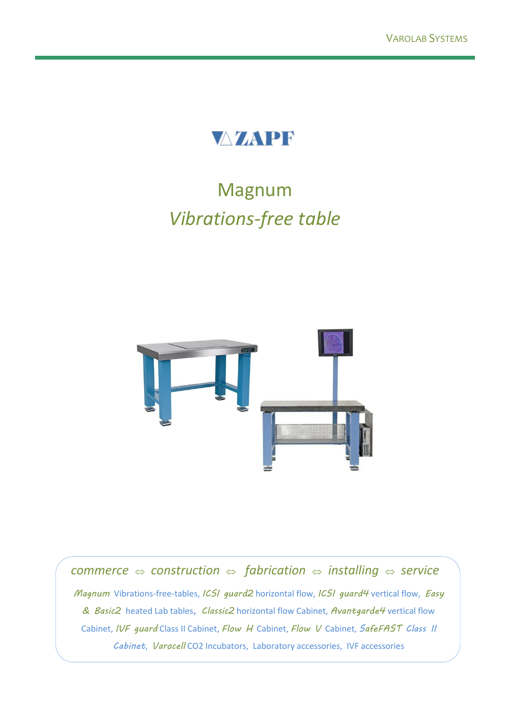

# Magnum *Vibrations-free table*



*commerce*  $\Leftrightarrow$  *construction*  $\Leftrightarrow$  *fabrication*  $\Leftrightarrow$  *installing*  $\Leftrightarrow$  *service Magnum* Vibrations-free-tables, *ICSI guard2* horizontal flow, *ICSI guard4* vertical flow, *Easy & Basic2* heated Lab tables*, Classic2* horizontal flow Cabinet, *Avantgarde4* vertical flow Cabinet, *IVF guard* Class II Cabinet, *Flow H* Cabinet, *Flow V* Cabinet, *SafeFAST Class II Cabinet*, *Varocell* CO2 Incubators, Laboratory accessories, IVF accessories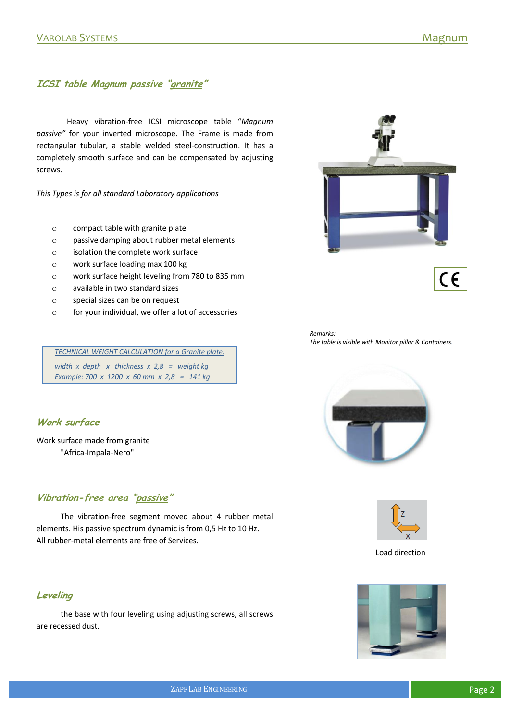# **ICSI table Magnum passive "granite"**

Heavy vibration-free ICSI microscope table "*Magnum passive"* for your inverted microscope. The Frame is made from rectangular tubular, a stable welded steel-construction. It has a completely smooth surface and can be compensated by adjusting screws.

#### *This Types is for all standard Laboratory applications*

- o compact table with granite plate
- o passive damping about rubber metal elements
- o isolation the complete work surface
- o work surface loading max 100 kg
- o work surface height leveling from 780 to 835 mm
- o available in two standard sizes
- o special sizes can be on request
- o for your individual, we offer a lot of accessories





*Remarks: The table is visible with Monitor pillar & Containers.*

*TECHNICAL WEIGHT CALCULATION for a Granite plate: width x depth x thickness x 2,8 = weight kg Example: 700 x 1200 x 60 mm x 2,8 = 141 kg*

#### **Work surface**

Work surface made from granite "Africa-Impala-Nero"

## **Vibration-free area "passive"**

The vibration-free segment moved about 4 rubber metal elements. His passive spectrum dynamic is from 0,5 Hz to 10 Hz. All rubber-metal elements are free of Services.

#### **Leveling**

the base with four leveling using adjusting screws, all screws are recessed dust.





Load direction

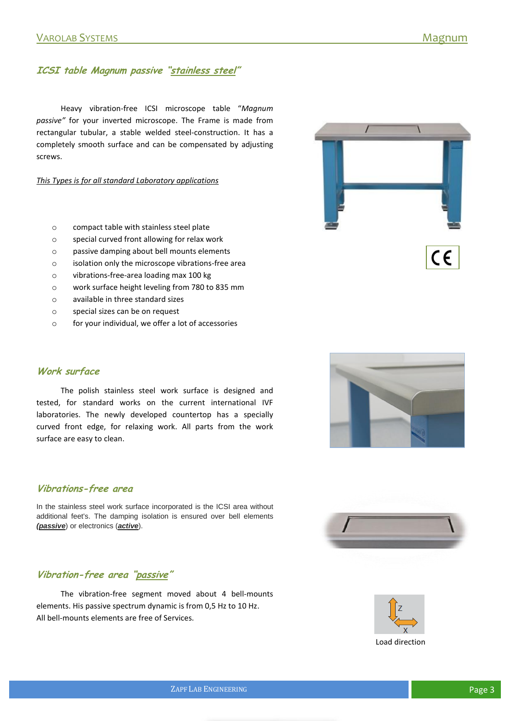## **ICSI table Magnum passive "stainless steel"**

Heavy vibration-free ICSI microscope table "*Magnum passive"* for your inverted microscope. The Frame is made from rectangular tubular, a stable welded steel-construction. It has a completely smooth surface and can be compensated by adjusting screws.

*This Types is for all standard Laboratory applications*

- o compact table with stainless steel plate
- o special curved front allowing for relax work
- o passive damping about bell mounts elements
- o isolation only the microscope vibrations-free area
- o vibrations-free-area loading max 100 kg
- o work surface height leveling from 780 to 835 mm
- o available in three standard sizes
- o special sizes can be on request
- o for your individual, we offer a lot of accessories





The polish stainless steel work surface is designed and tested, for standard works on the current international IVF laboratories. The newly developed countertop has a specially curved front edge, for relaxing work. All parts from the work surface are easy to clean.

#### **Vibrations-free area**

In the stainless steel work surface incorporated is the ICSI area without additional feet's. The damping isolation is ensured over bell elements *(passive*) or electronics (*active*).

## **Vibration-free area "passive"**

The vibration-free segment moved about 4 bell-mounts elements. His passive spectrum dynamic is from 0,5 Hz to 10 Hz. All bell-mounts elements are free of Services.





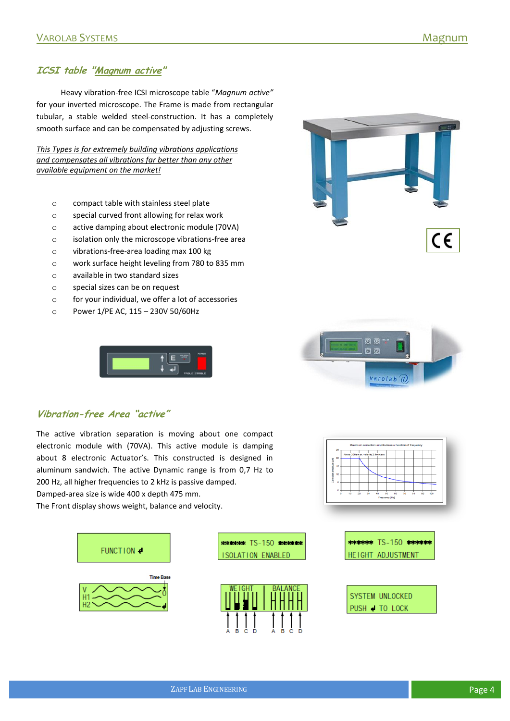## **ICSI table "Magnum active"**

Heavy vibration-free ICSI microscope table "*Magnum active"* for your inverted microscope. The Frame is made from rectangular tubular, a stable welded steel-construction. It has a completely smooth surface and can be compensated by adjusting screws.

*This Types is for extremely building vibrations applications and compensates all vibrations far better than any other available equipment on the market!*

- o compact table with stainless steel plate
- o special curved front allowing for relax work
- o active damping about electronic module (70VA)
- o isolation only the microscope vibrations-free area
- o vibrations-free-area loading max 100 kg
- o work surface height leveling from 780 to 835 mm
- o available in two standard sizes
- o special sizes can be on request
- o for your individual, we offer a lot of accessories
- o Power 1/PE AC, 115 230V 50/60Hz







#### **Vibration-free Area "active"**

The active vibration separation is moving about one compact electronic module with (70VA). This active module is damping about 8 electronic Actuator's. This constructed is designed in aluminum sandwich. The active Dynamic range is from 0,7 Hz to 200 Hz, all higher frequencies to 2 kHz is passive damped. Damped-area size is wide 400 x depth 475 mm.

The Front display shows weight, balance and velocity.





| $\star\star\star\star\star$ TS-150 $\star\star\star\star\star$ |
|----------------------------------------------------------------|
| HEIGHT ADJUSTMENT                                              |

| SYSTEM UNLOCKED |  |  |
|-----------------|--|--|
| PUSH + TO LOCK  |  |  |